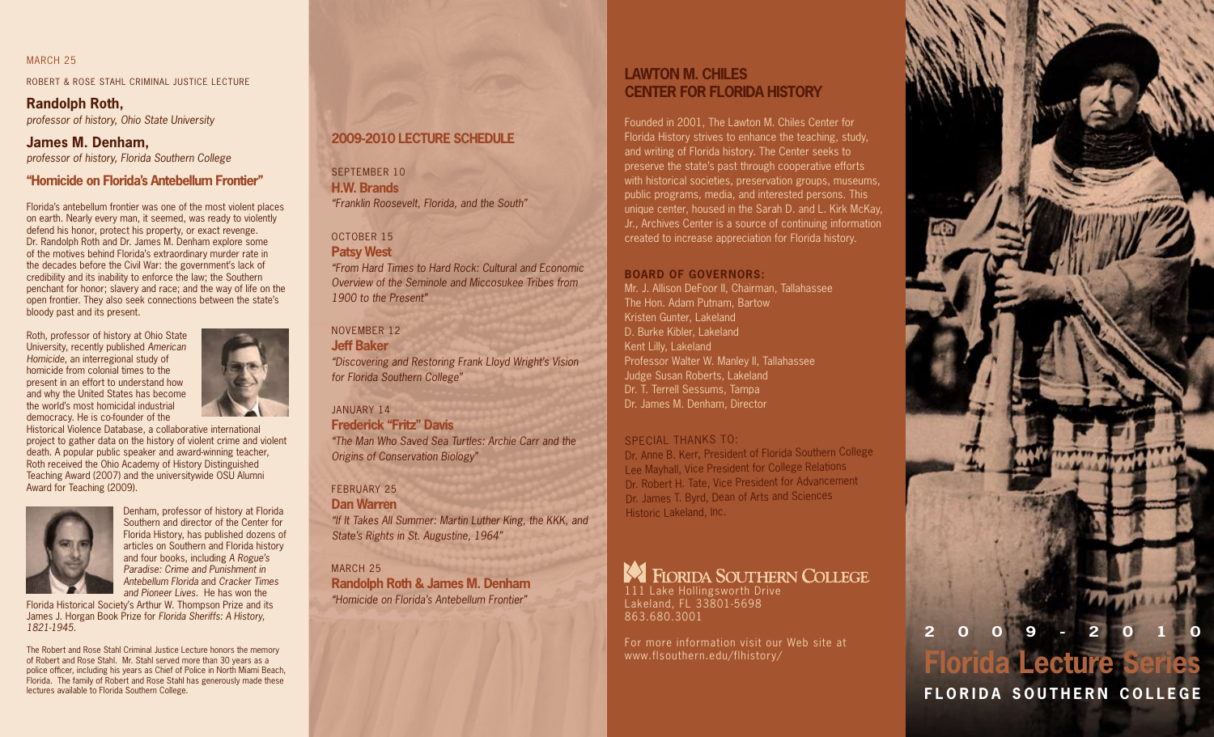#### MARCH<sub>25</sub>

ROBERT & ROSE STAHL CRIMINAL JUSTICE LECTURE

# **Randolph Roth,**

*professor of history, Ohio State University*

# **James M. Denham,**

*professor of history, Florida Southern College*

## **"Homicide on Florida's Antebellum Frontier"**

Florida's antebellum frontier was one of the most violent places on earth. Nearly every man, it seemed, was ready to violently defend his honor, protect his property, or exact revenge. Dr. Randolph Roth and Dr. James M. Denham explore some of the motives behind Florida's extraordinary murder rate in the decades before the Civil War: the government's lack of credibility and its inability to enforce the law; the Southern penchant for honor; slavery and race; and the way of life on the open frontier. They also seek connections between the state's bloody past and its present.

Roth, professor of history at Ohio State University, recently published *American Homicide*, an interregional study of homicide from colonial times to the present in an effort to understand how and why the United States has become the world's most homicidal industrial democracy. He is co-founder of the



Historical Violence Database, a collaborative international project to gather data on the history of violent crime and violent death. A popular public speaker and award-winning teacher, Roth received the Ohio Academy of History Distinguished Teaching Award (2007) and the universitywide OSU Alumni Award for Teaching (2009).



Denham, professor of history at Florida Southern and director of the Center for Florida History, has published dozens of articles on Southern and Florida history and four books, including *A Rogue's Paradise: Crime and Punishment in Antebellum Florida* and *Cracker Times and Pioneer Lives*. He has won the

Florida Historical Society's Arthur W. Thompson Prize and its James J. Horgan Book Prize for *Florida Sheriffs: A History, 1821-1945*.

The Robert and Rose Stahl Criminal Justice Lecture honors the memory of Robert and Rose Stahl. Mr. Stahl served more than 30 years as a police officer, including his years as Chief of Police in North Miami Beach, Florida. The family of Robert and Rose Stahl has generously made these lectures available to Florida Southern College.

## **2009-2010 Lecture Schedule**

SEPTEMBER 10 **H.W. Brands** *"Franklin Roosevelt, Florida, and the South"*

## October 15

**Patsy West** *"From Hard Times to Hard Rock: Cultural and Economic Overview of the Seminole and Miccosukee Tribes from 1900 to the Present"*

#### November 12

**Jeff Baker** *"Discovering and Restoring Frank Lloyd Wright's Vision for Florida Southern College"*

## january 14

**Frederick "Fritz" Davis** *"The Man Who Saved Sea Turtles: Archie Carr and the Origins of Conservation Biology"*

#### FFBRUARY 25

**Dan Warren** *"If It Takes All Summer: Martin Luther King, the KKK, and State's Rights in St. Augustine, 1964"*

MARCH 25

**Randolph Roth & James M. Denham** *"Homicide on Florida's Antebellum Frontier"*

# **Lawton M. Chiles Center for Florida History**

Founded in 2001, The Lawton M. Chiles Center for Florida History strives to enhance the teaching, study, and writing of Florida history. The Center seeks to preserve the state's past through cooperative efforts with historical societies, preservation groups, museums, public programs, media, and interested persons. This unique center, housed in the Sarah D. and L. Kirk McKay, Jr., Archives Center is a source of continuing information created to increase appreciation for Florida history.

#### **BOARD OF GOVERNORS:**

Mr. J. Allison DeFoor II, Chairman, Tallahassee The Hon. Adam Putnam, Bartow Kristen Gunter, Lakeland D. Burke Kibler, Lakeland Kent Lilly, Lakeland Professor Walter W. Manley II, Tallahassee Judge Susan Roberts, Lakeland Dr. T. Terrell Sessums, Tampa Dr. James M. Denham, Director

## SPECIAL THANKS TO:

Dr. Anne B. Kerr, President of Florida Southern College Lee Mayhall, Vice President for College Relations Dr. Robert H. Tate, Vice President for Advancement Dr. James T. Byrd, Dean of Arts and Sciences Historic Lakeland, Inc.

# **EX** FIORIDA SOUTHERN COLLEGE

111 Lake Hollingsworth Drive Lakeland, FL 33801-5698 863.680.3001

For more information visit our Web site at www.flsouthern.edu/flhistory/